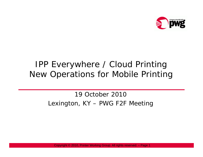

#### IPP Everywhere / Cloud Printing New Operations for Mobile Printing

19 October 2010Lexington, KY – PWG F2F Meeting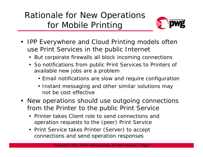# Rationale for New Operations for Mobile Printin g



- $\bullet$  IPP Everywhere and Cloud Printing models often use Print Services in the public Internet
	- But corporate firewalls all block incoming connections
	- So notifications from public Print Services to Printers of available new jobs are a problem
		- Email notifications are slow and require configuration
		- Instant messaging and other similar solutions may not be cost effective
- New operations should use outgoing connections from the Printer to the public Print Service
	- Printer takes Client role to send connections and operation requests to the (peer) Print Service
	- Print Service takes Printer (Server) to accept connections and send operation responses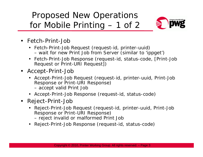# Proposed New Operations for Mobile Printin g – 1 of 2



- Fetch-Print-Job
	- Fetch-Print-Job Request (request-id, printer-uuid) wait for new Print Job from Server (similar to 'ippget')
	- Fetch-Print-Job Response (request-id, status-code, [Print-Job Request or Print-URI Request])
- Accept-Print-Job
	- Accept-Print-Job Request (request-id, printer-uuid, Print-Job Response or Print-URI Response)
		- accept valid Print Job
	- Accept-Print-Job Response (request-id, status-code)
- Reject-Print-Job
	- Reject-Print-Job Request (request-id, printer-uuid, Print-Job Response or Print-URI Response) – reject invalid or malformed Print Job
	- Reject-Print-Job Response (request-id, status-code)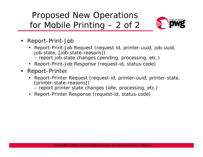# Proposed New Operations for Mobile Printin g – 2 of 2



- • Report-Print-Job
	- Report-Print-Job Request (request-id, printer-uuid, job-uuid, job-state, [job-state-reasons]) report job state changes (pending, processing, etc.)
	- Report-Print-Job Response (request-id, status-code)
- • Report-Printe r
	- Report-Printer Request (request-id, printer-uuid, printer-state, [printer-state-reasons])
		- $-$  report printer state changes (idle, processing, etc.)
	- Report-Printer Response (request-id, status-code)